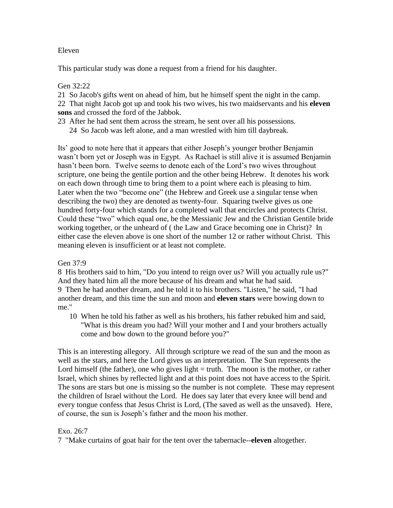### Eleven

This particular study was done a request from a friend for his daughter.

### Gen 32:22

21 So Jacob's gifts went on ahead of him, but he himself spent the night in the camp.

22 That night Jacob got up and took his two wives, his two maidservants and his **eleven sons** and crossed the ford of the Jabbok.

23 After he had sent them across the stream, he sent over all his possessions. 24 So Jacob was left alone, and a man wrestled with him till daybreak.

Its" good to note here that it appears that either Joseph"s younger brother Benjamin wasn"t born yet or Joseph was in Egypt. As Rachael is still alive it is assumed Benjamin hasn't been born. Twelve seems to denote each of the Lord's two wives throughout scripture, one being the gentile portion and the other being Hebrew. It denotes his work on each down through time to bring them to a point where each is pleasing to him. Later when the two "become one" (the Hebrew and Greek use a singular tense when describing the two) they are denoted as twenty-four. Squaring twelve gives us one hundred forty-four which stands for a completed wall that encircles and protects Christ. Could these "two" which equal one, be the Messianic Jew and the Christian Gentile bride working together, or the unheard of ( the Law and Grace becoming one in Christ)? In either case the eleven above is one short of the number 12 or rather without Christ. This meaning eleven is insufficient or at least not complete.

# Gen 37:9

8 His brothers said to him, "Do you intend to reign over us? Will you actually rule us?" And they hated him all the more because of his dream and what he had said. 9 Then he had another dream, and he told it to his brothers. "Listen," he said, "I had another dream, and this time the sun and moon and **eleven stars** were bowing down to me."

10 When he told his father as well as his brothers, his father rebuked him and said, "What is this dream you had? Will your mother and I and your brothers actually come and bow down to the ground before you?"

This is an interesting allegory. All through scripture we read of the sun and the moon as well as the stars, and here the Lord gives us an interpretation. The Sun represents the Lord himself (the father), one who gives light  $=$  truth. The moon is the mother, or rather Israel, which shines by reflected light and at this point does not have access to the Spirit. The sons are stars but one is missing so the number is not complete. These may represent the children of Israel without the Lord. He does say later that every knee will bend and every tongue confess that Jesus Christ is Lord, (The saved as well as the unsaved). Here, of course, the sun is Joseph"s father and the moon his mother.

# Exo. 26:7

7 "Make curtains of goat hair for the tent over the tabernacle--**eleven** altogether.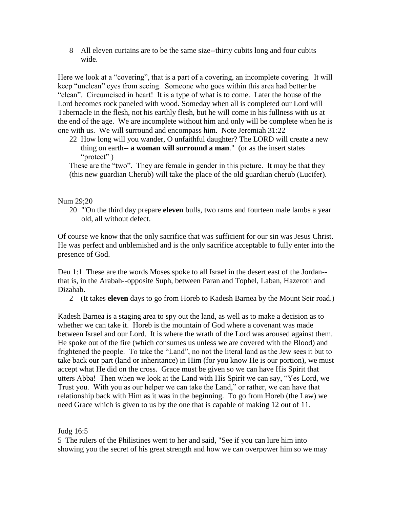8 All eleven curtains are to be the same size--thirty cubits long and four cubits wide.

Here we look at a "covering", that is a part of a covering, an incomplete covering. It will keep "unclean" eyes from seeing. Someone who goes within this area had better be "clean". Circumcised in heart! It is a type of what is to come. Later the house of the Lord becomes rock paneled with wood. Someday when all is completed our Lord will Tabernacle in the flesh, not his earthly flesh, but he will come in his fullness with us at the end of the age. We are incomplete without him and only will be complete when he is one with us. We will surround and encompass him. Note Jeremiah 31:22

22 How long will you wander, O unfaithful daughter? The LORD will create a new thing on earth-- **a woman will surround a man**." (or as the insert states "protect" )

These are the "two". They are female in gender in this picture. It may be that they (this new guardian Cherub) will take the place of the old guardian cherub (Lucifer).

### Num 29;20

20 "'On the third day prepare **eleven** bulls, two rams and fourteen male lambs a year old, all without defect.

Of course we know that the only sacrifice that was sufficient for our sin was Jesus Christ. He was perfect and unblemished and is the only sacrifice acceptable to fully enter into the presence of God.

Deu 1:1 These are the words Moses spoke to all Israel in the desert east of the Jordan- that is, in the Arabah--opposite Suph, between Paran and Tophel, Laban, Hazeroth and Dizahab.

2 (It takes **eleven** days to go from Horeb to Kadesh Barnea by the Mount Seir road.)

Kadesh Barnea is a staging area to spy out the land, as well as to make a decision as to whether we can take it. Horeb is the mountain of God where a covenant was made between Israel and our Lord. It is where the wrath of the Lord was aroused against them. He spoke out of the fire (which consumes us unless we are covered with the Blood) and frightened the people. To take the "Land", no not the literal land as the Jew sees it but to take back our part (land or inheritance) in Him (for you know He is our portion), we must accept what He did on the cross. Grace must be given so we can have His Spirit that utters Abba! Then when we look at the Land with His Spirit we can say, "Yes Lord, we Trust you. With you as our helper we can take the Land," or rather, we can have that relationship back with Him as it was in the beginning. To go from Horeb (the Law) we need Grace which is given to us by the one that is capable of making 12 out of 11.

### Judg 16:5

5 The rulers of the Philistines went to her and said, "See if you can lure him into showing you the secret of his great strength and how we can overpower him so we may